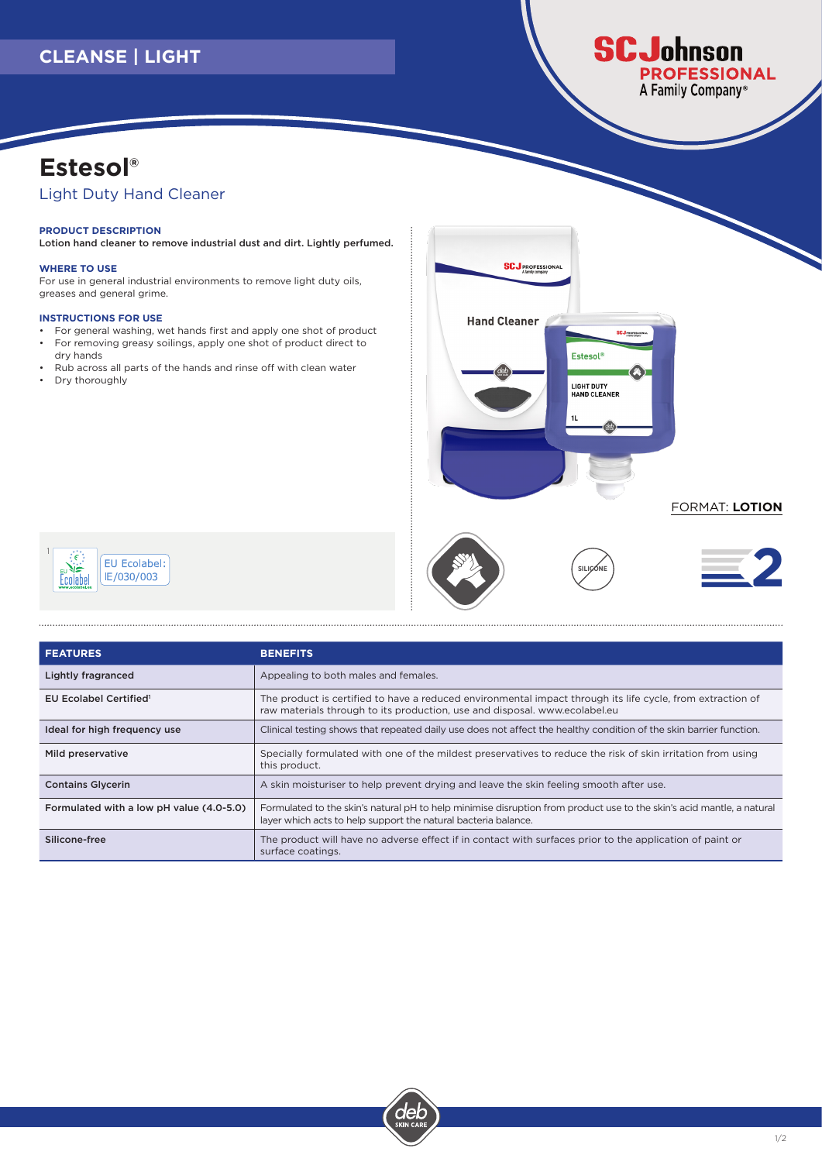## **CLEANSE | LIGHT**

### **SCJohnson OFESSIONAL** A Family Company<sup>®</sup>

# **Estesol®**

### Light Duty Hand Cleaner

#### **PRODUCT DESCRIPTION**

Lotion hand cleaner to remove industrial dust and dirt. Lightly perfumed.

#### **WHERE TO USE**

For use in general industrial environments to remove light duty oils, greases and general grime.

#### **INSTRUCTIONS FOR USE**

- For general washing, wet hands first and apply one shot of product • For removing greasy soilings, apply one shot of product direct to dry hands
- Rub across all parts of the hands and rinse off with clean water
- Dry thoroughly



**SILICONE** 

#### FORMAT: **LOTION**